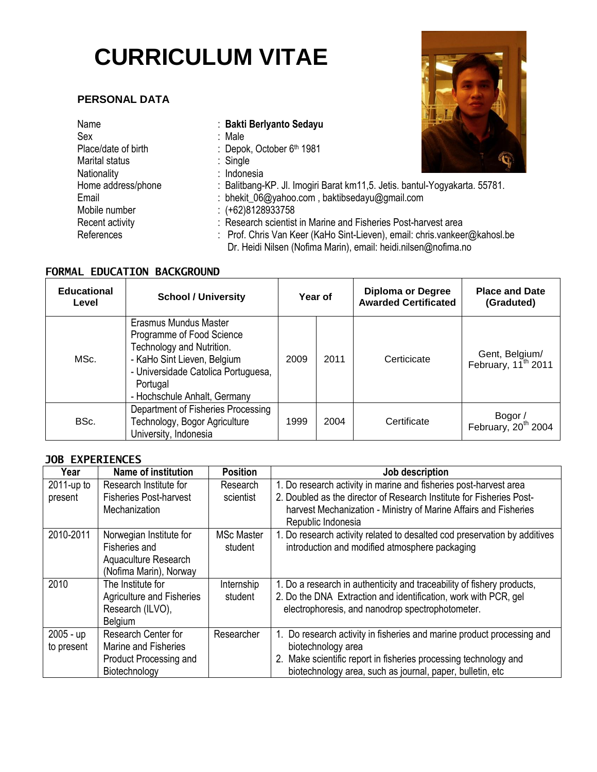# **CURRICULUM VITAE**

## **PERSONAL DATA**

| Name                | : Bakti Berlyanto Sedayu                                                   |
|---------------------|----------------------------------------------------------------------------|
| Sex                 | : Male                                                                     |
| Place/date of birth | : Depok, October 6th 1981                                                  |
| Marital status      | $:$ Single                                                                 |
| Nationality         | : Indonesia                                                                |
| Home address/phone  | : Balitbang-KP. Jl. Imogiri Barat km11,5. Jetis. bantul-Yogyakarta. 55781. |
| Email               | : bhekit_06@yahoo.com, baktibsedayu@gmail.com                              |
| Mobile number       | $:(+62)8128933758$                                                         |
| Recent activity     | : Research scientist in Marine and Fisheries Post-harvest area             |
| References          | : Prof. Chris Van Keer (KaHo Sint-Lieven), email: chris.vankeer@kahosl.be  |
|                     | Dr. Heidi Nilsen (Nofima Marin), email: heidi.nilsen@nofima.no             |

# **FORMAL EDUCATION BACKGROUND**

| <b>Educational</b><br>Level | <b>School / University</b>                                                                                                                                                                        | Year of |      | <b>Diploma or Degree</b><br><b>Awarded Certificated</b> | <b>Place and Date</b><br>(Graduted)               |
|-----------------------------|---------------------------------------------------------------------------------------------------------------------------------------------------------------------------------------------------|---------|------|---------------------------------------------------------|---------------------------------------------------|
| MSc.                        | Erasmus Mundus Master<br>Programme of Food Science<br>Technology and Nutrition.<br>- KaHo Sint Lieven, Belgium<br>- Universidade Catolica Portuguesa,<br>Portugal<br>- Hochschule Anhalt, Germany | 2009    | 2011 | Certicicate                                             | Gent, Belgium/<br>February, 11 <sup>th</sup> 2011 |
| BSc.                        | Department of Fisheries Processing<br>Technology, Bogor Agriculture<br>University, Indonesia                                                                                                      | 1999    | 2004 | Certificate                                             | Bogor /<br>February, 20 <sup>th</sup> 2004        |

#### **JOB EXPERIENCES**

| Year          | <b>Name of institution</b>                     | <b>Position</b>   | Job description                                                                                                                          |
|---------------|------------------------------------------------|-------------------|------------------------------------------------------------------------------------------------------------------------------------------|
| $2011$ -up to | Research Institute for                         | Research          | 1. Do research activity in marine and fisheries post-harvest area                                                                        |
| present       | <b>Fisheries Post-harvest</b><br>Mechanization | scientist         | 2. Doubled as the director of Research Institute for Fisheries Post-<br>harvest Mechanization - Ministry of Marine Affairs and Fisheries |
|               |                                                |                   | Republic Indonesia                                                                                                                       |
| 2010-2011     | Norwegian Institute for                        | <b>MSc Master</b> | 1. Do research activity related to desalted cod preservation by additives                                                                |
|               | Fisheries and                                  | student           | introduction and modified atmosphere packaging                                                                                           |
|               | Aquaculture Research                           |                   |                                                                                                                                          |
|               | (Nofima Marin), Norway                         |                   |                                                                                                                                          |
| 2010          | The Institute for                              | Internship        | 1. Do a research in authenticity and traceability of fishery products,                                                                   |
|               | <b>Agriculture and Fisheries</b>               | student           | 2. Do the DNA Extraction and identification, work with PCR, gel                                                                          |
|               | Research (ILVO),                               |                   | electrophoresis, and nanodrop spectrophotometer.                                                                                         |
|               | Belgium                                        |                   |                                                                                                                                          |
| 2005 - up     | Research Center for                            | Researcher        | 1. Do research activity in fisheries and marine product processing and                                                                   |
| to present    | Marine and Fisheries                           |                   | biotechnology area                                                                                                                       |
|               | Product Processing and                         |                   | 2. Make scientific report in fisheries processing technology and                                                                         |
|               | Biotechnology                                  |                   | biotechnology area, such as journal, paper, bulletin, etc                                                                                |